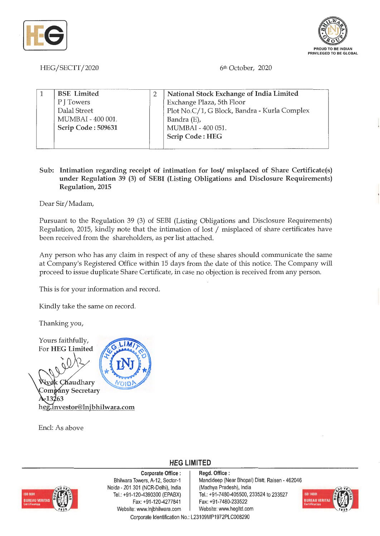



HEG/SECTT/2020

6th October, 2020

| <b>BSE</b> Limited | National Stock Exchange of India Limited     |  |
|--------------------|----------------------------------------------|--|
| P J Towers         | Exchange Plaza, 5th Floor                    |  |
| Dalal Street       | Plot No.C/1, G Block, Bandra - Kurla Complex |  |
| MUMBAI - 400 001.  | Bandra (E),                                  |  |
| Scrip Code: 509631 | MUMBAI - 400 051.                            |  |
|                    | <b>Scrip Code: HEG</b>                       |  |
|                    |                                              |  |

## **Sub: Intimation regarding receipt of intimation for lost/ misplaced of Share Certificate(s) under Regulation 39 (3) of SEBI (Listing Obligations and Disclosure Requirements) Regulation,** 2015

Dear Sir/ Madam.,

Pursuant to the Regulation 39 (3) of SEBI (Listing Obligations and Disclosure Requirements) Regulation, 2015, kindly note that the intimation of lost / misplaced of share certificates have been received from the shareholders, as per list attached.

Any person who has any claim in respect of any of these shares should communicate the same at Company's Registered Office within 15 days from the date of this notice. The Company will proceed to issue duplicate Share Certificate, in case no objection is received from any person.

This is for your information and record.

Kindly take the same on record.

Thanking you,

Yours faithfully, For **HEG Limited** 

k Chaudhary Company Secretary -13263 heg.investor@lnjbhilwara.com

Encl: As above



**Corporate Office** : Bhilwara Towers, A-12, Sector-1 Noida - 201 301 (NCR-Delhi), India Tel. : +91 -120-4390300 (EPABX) Fax: +91 -120-4277841 Website: www.lnjbhilwara.com | Website: www.hegltd.com

**Regd. Office** : Mandideep (Near Bhopal) Distt. Raisen - 462046 (Madhya Pradesh), India Tel.: +91-7480-405500, 233524 to 233527 Fax: +91-7480-233522



Corporate Identification No.: L23109MP1972PLC008290

**HEG LIMITED**